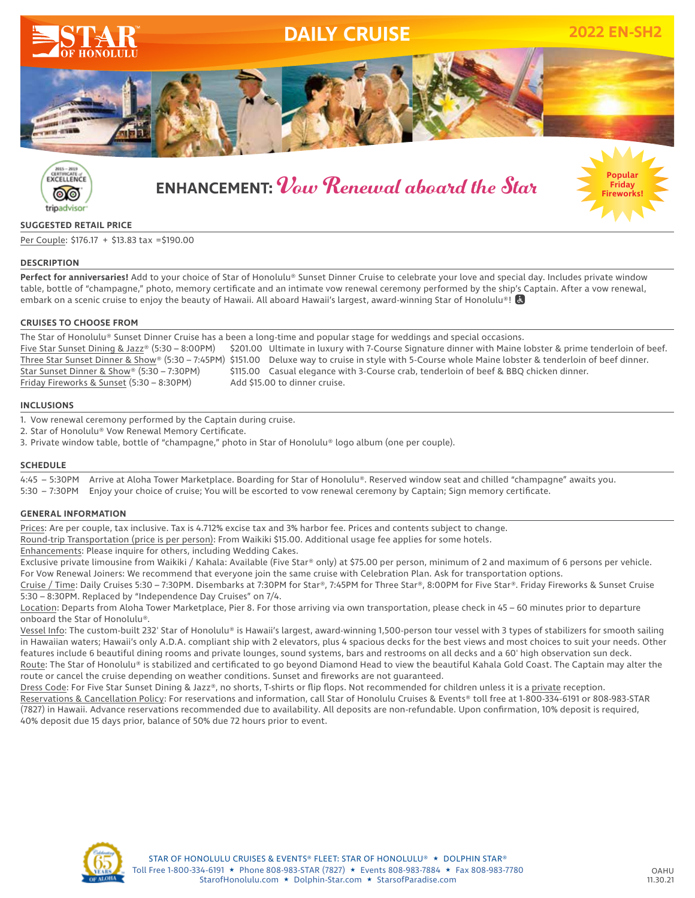



# **ENHANCEMENT:** Vow Renewal aboard the Star **Popular**



# **SUGGESTED RETAIL PRICE**

Per Couple: \$176.17 + \$13.83 tax =\$190.00

# **DESCRIPTION**

**Perfect for anniversaries!** Add to your choice of Star of Honolulu® Sunset Dinner Cruise to celebrate your love and special day. Includes private window table, bottle of "champagne," photo, memory certificate and an intimate vow renewal ceremony performed by the ship's Captain. After a vow renewal, embark on a scenic cruise to enjoy the beauty of Hawaii. All aboard Hawaii's largest, award-winning Star of Honolulu®!

# **CRUISES TO CHOOSE FROM**

The Star of Honolulu® Sunset Dinner Cruise has a been a long-time and popular stage for weddings and special occasions. Five Star Sunset Dining & Jazz® (5:30 – 8:00PM) \$201.00 Ultimate in luxury with 7-Course Signature dinner with Maine lobster & prime tenderloin of beef. Three Star Sunset Dinner & Show® (5:30 – 7:45PM) \$151.00 Deluxe way to cruise in style with 5-Course whole Maine lobster & tenderloin of beef dinner. Star Sunset Dinner & Show® (5:30 – 7:30PM) \$115.00 Casual elegance with 3-Course crab, tenderloin of beef & BBQ chicken dinner. Friday Fireworks & Sunset (5:30 – 8:30PM) Add \$15.00 to dinner cruise.

# **INCLUSIONS**

1. Vow renewal ceremony performed by the Captain during cruise.

2. Star of Honolulu® Vow Renewal Memory Certificate.

3. Private window table, bottle of "champagne," photo in Star of Honolulu® logo album (one per couple).

# **SCHEDULE**

4:45 – 5:30PM Arrive at Aloha Tower Marketplace. Boarding for Star of Honolulu®. Reserved window seat and chilled "champagne" awaits you.<br>5:30 – 7:30PM Enjoy your choice of cruise: You will be escorted to yow renewal cerem Enjoy your choice of cruise; You will be escorted to vow renewal ceremony by Captain; Sign memory certificate.

# **GENERAL INFORMATION**

Prices: Are per couple, tax inclusive. Tax is 4.712% excise tax and 3% harbor fee. Prices and contents subject to change.

Round-trip Transportation (price is per person): From Waikiki \$15.00. Additional usage fee applies for some hotels.

Enhancements: Please inquire for others, including Wedding Cakes.

Exclusive private limousine from Waikiki / Kahala: Available (Five Star® only) at \$75.00 per person, minimum of 2 and maximum of 6 persons per vehicle. For Vow Renewal Joiners: We recommend that everyone join the same cruise with Celebration Plan. Ask for transportation options.

Cruise / Time: Daily Cruises 5:30 – 7:30PM. Disembarks at 7:30PM for Star®, 7:45PM for Three Star®, 8:00PM for Five Star®. Friday Fireworks & Sunset Cruise 5:30 – 8:30PM. Replaced by "Independence Day Cruises" on 7/4.

Location: Departs from Aloha Tower Marketplace, Pier 8. For those arriving via own transportation, please check in 45 – 60 minutes prior to departure onboard the Star of Honolulu®.

Vessel Info: The custom-built 232' Star of Honolulu® is Hawaii's largest, award-winning 1,500-person tour vessel with 3 types of stabilizers for smooth sailing in Hawaiian waters; Hawaii's only A.D.A. compliant ship with 2 elevators, plus 4 spacious decks for the best views and most choices to suit your needs. Other features include 6 beautiful dining rooms and private lounges, sound systems, bars and restrooms on all decks and a 60' high observation sun deck. Route: The Star of Honolulu® is stabilized and certificated to go beyond Diamond Head to view the beautiful Kahala Gold Coast. The Captain may alter the

route or cancel the cruise depending on weather conditions. Sunset and fireworks are not guaranteed.

Dress Code: For Five Star Sunset Dining & Jazz®, no shorts, T-shirts or flip flops. Not recommended for children unless it is a private reception. Reservations & Cancellation Policy: For reservations and information, call Star of Honolulu Cruises & Events® toll free at 1-800-334-6191 or 808-983-STAR (7827) in Hawaii. Advance reservations recommended due to availability. All deposits are non-refundable. Upon confirmation, 10% deposit is required, 40% deposit due 15 days prior, balance of 50% due 72 hours prior to event.